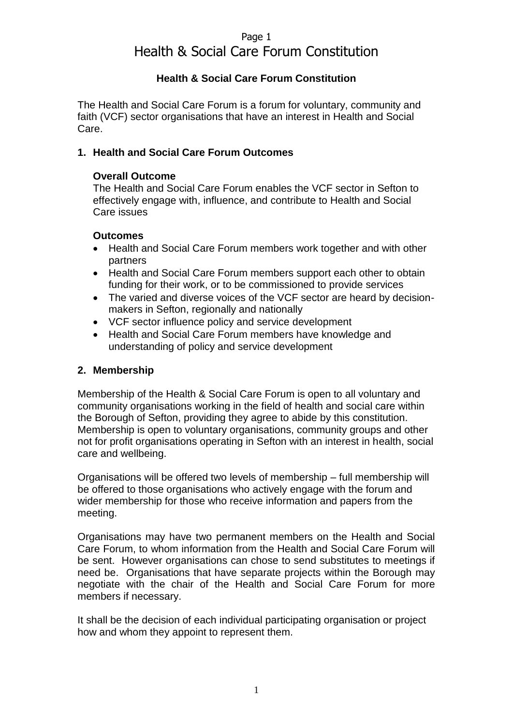# Page 1 Health & Social Care Forum Constitution

## **Health & Social Care Forum Constitution**

The Health and Social Care Forum is a forum for voluntary, community and faith (VCF) sector organisations that have an interest in Health and Social Care.

#### **1. Health and Social Care Forum Outcomes**

#### **Overall Outcome**

The Health and Social Care Forum enables the VCF sector in Sefton to effectively engage with, influence, and contribute to Health and Social Care issues

#### **Outcomes**

- Health and Social Care Forum members work together and with other partners
- Health and Social Care Forum members support each other to obtain funding for their work, or to be commissioned to provide services
- The varied and diverse voices of the VCF sector are heard by decisionmakers in Sefton, regionally and nationally
- VCF sector influence policy and service development
- Health and Social Care Forum members have knowledge and understanding of policy and service development

#### **2. Membership**

Membership of the Health & Social Care Forum is open to all voluntary and community organisations working in the field of health and social care within the Borough of Sefton, providing they agree to abide by this constitution. Membership is open to voluntary organisations, community groups and other not for profit organisations operating in Sefton with an interest in health, social care and wellbeing.

Organisations will be offered two levels of membership – full membership will be offered to those organisations who actively engage with the forum and wider membership for those who receive information and papers from the meeting.

Organisations may have two permanent members on the Health and Social Care Forum, to whom information from the Health and Social Care Forum will be sent. However organisations can chose to send substitutes to meetings if need be. Organisations that have separate projects within the Borough may negotiate with the chair of the Health and Social Care Forum for more members if necessary.

It shall be the decision of each individual participating organisation or project how and whom they appoint to represent them.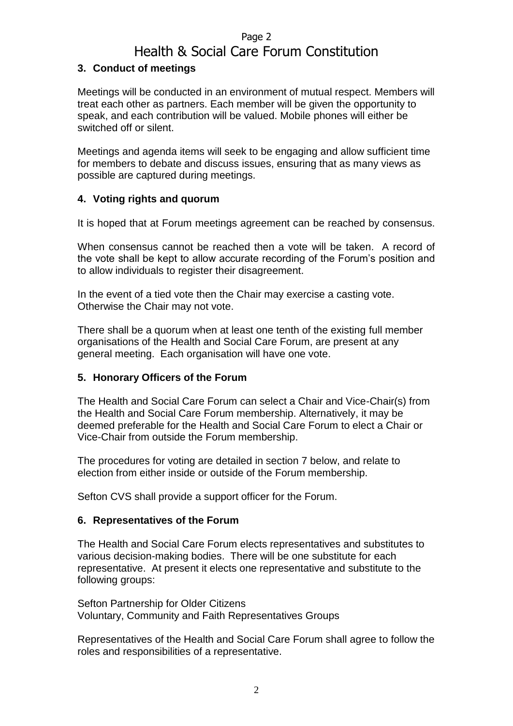## Page 2

# Health & Social Care Forum Constitution

### **3. Conduct of meetings**

Meetings will be conducted in an environment of mutual respect. Members will treat each other as partners. Each member will be given the opportunity to speak, and each contribution will be valued. Mobile phones will either be switched off or silent.

Meetings and agenda items will seek to be engaging and allow sufficient time for members to debate and discuss issues, ensuring that as many views as possible are captured during meetings.

## **4. Voting rights and quorum**

It is hoped that at Forum meetings agreement can be reached by consensus.

When consensus cannot be reached then a vote will be taken. A record of the vote shall be kept to allow accurate recording of the Forum's position and to allow individuals to register their disagreement.

In the event of a tied vote then the Chair may exercise a casting vote. Otherwise the Chair may not vote.

There shall be a quorum when at least one tenth of the existing full member organisations of the Health and Social Care Forum, are present at any general meeting. Each organisation will have one vote.

#### **5. Honorary Officers of the Forum**

The Health and Social Care Forum can select a Chair and Vice-Chair(s) from the Health and Social Care Forum membership. Alternatively, it may be deemed preferable for the Health and Social Care Forum to elect a Chair or Vice-Chair from outside the Forum membership.

The procedures for voting are detailed in section 7 below, and relate to election from either inside or outside of the Forum membership.

Sefton CVS shall provide a support officer for the Forum.

#### **6. Representatives of the Forum**

The Health and Social Care Forum elects representatives and substitutes to various decision-making bodies. There will be one substitute for each representative. At present it elects one representative and substitute to the following groups:

Sefton Partnership for Older Citizens Voluntary, Community and Faith Representatives Groups

Representatives of the Health and Social Care Forum shall agree to follow the roles and responsibilities of a representative.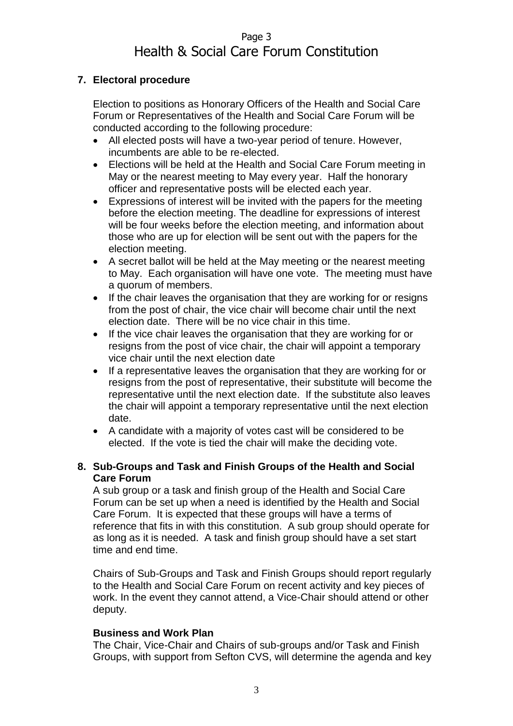# Page 3 Health & Social Care Forum Constitution

## **7. Electoral procedure**

Election to positions as Honorary Officers of the Health and Social Care Forum or Representatives of the Health and Social Care Forum will be conducted according to the following procedure:

- All elected posts will have a two-year period of tenure. However, incumbents are able to be re-elected.
- Elections will be held at the Health and Social Care Forum meeting in May or the nearest meeting to May every year. Half the honorary officer and representative posts will be elected each year.
- Expressions of interest will be invited with the papers for the meeting before the election meeting. The deadline for expressions of interest will be four weeks before the election meeting, and information about those who are up for election will be sent out with the papers for the election meeting.
- A secret ballot will be held at the May meeting or the nearest meeting to May. Each organisation will have one vote. The meeting must have a quorum of members.
- If the chair leaves the organisation that they are working for or resigns from the post of chair, the vice chair will become chair until the next election date. There will be no vice chair in this time.
- If the vice chair leaves the organisation that they are working for or resigns from the post of vice chair, the chair will appoint a temporary vice chair until the next election date
- If a representative leaves the organisation that they are working for or resigns from the post of representative, their substitute will become the representative until the next election date. If the substitute also leaves the chair will appoint a temporary representative until the next election date.
- A candidate with a majority of votes cast will be considered to be elected. If the vote is tied the chair will make the deciding vote.

#### **8. Sub-Groups and Task and Finish Groups of the Health and Social Care Forum**

A sub group or a task and finish group of the Health and Social Care Forum can be set up when a need is identified by the Health and Social Care Forum. It is expected that these groups will have a terms of reference that fits in with this constitution. A sub group should operate for as long as it is needed. A task and finish group should have a set start time and end time.

Chairs of Sub-Groups and Task and Finish Groups should report regularly to the Health and Social Care Forum on recent activity and key pieces of work. In the event they cannot attend, a Vice-Chair should attend or other deputy.

#### **Business and Work Plan**

The Chair, Vice-Chair and Chairs of sub-groups and/or Task and Finish Groups, with support from Sefton CVS, will determine the agenda and key